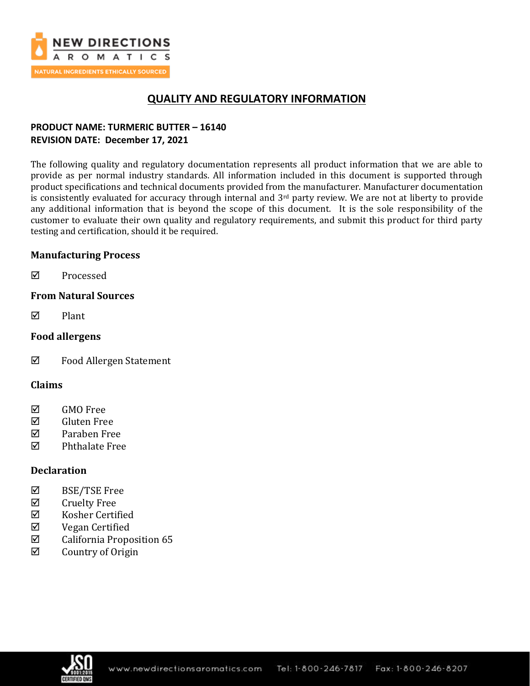

# **QUALITY AND REGULATORY INFORMATION**

## **PRODUCT NAME: TURMERIC BUTTER – 16140 REVISION DATE: December 17, 2021**

The following quality and regulatory documentation represents all product information that we are able to provide as per normal industry standards. All information included in this document is supported through product specifications and technical documents provided from the manufacturer. Manufacturer documentation is consistently evaluated for accuracy through internal and 3<sup>rd</sup> party review. We are not at liberty to provide any additional information that is beyond the scope of this document. It is the sole responsibility of the customer to evaluate their own quality and regulatory requirements, and submit this product for third party testing and certification, should it be required.

## **Manufacturing Process**

**☑** Processed

### **From Natural Sources**

 $\nabla$  Plant

## **Food allergens**

Food Allergen Statement

### **Claims**

- **☑** GMO Free
- Gluten Free
- Paraben Free
- $\nabla$  Phthalate Free

## **Declaration**

- BSE/TSE Free
- $\boxtimes$  Cruelty Free
- $\boxtimes$  Kosher Certified
- $\nabla$  Vegan Certified
- $\boxtimes$  California Proposition 65
- $\boxtimes$  Country of Origin

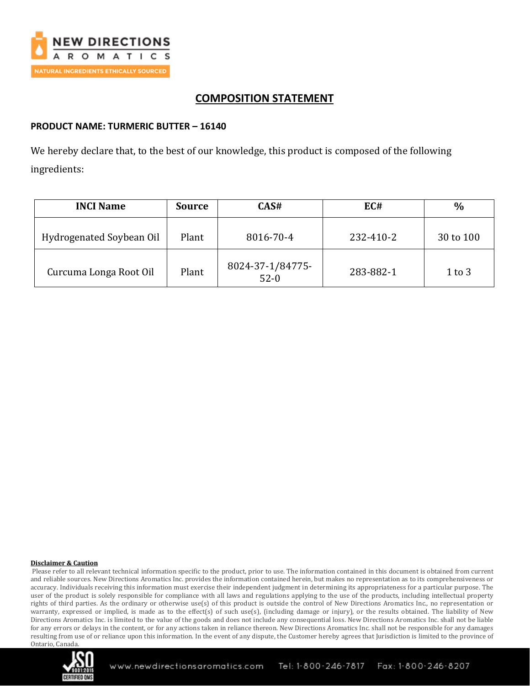

# **COMPOSITION STATEMENT**

### **PRODUCT NAME: TURMERIC BUTTER – 16140**

We hereby declare that, to the best of our knowledge, this product is composed of the following ingredients:

| <b>INCI Name</b>         | Source | CAS#                       | EC#       | $\%$       |
|--------------------------|--------|----------------------------|-----------|------------|
| Hydrogenated Soybean Oil | Plant  | 8016-70-4                  | 232-410-2 | 30 to 100  |
| Curcuma Longa Root Oil   | Plant  | 8024-37-1/84775-<br>$52-0$ | 283-882-1 | $1$ to $3$ |

#### **Disclaimer & Caution**

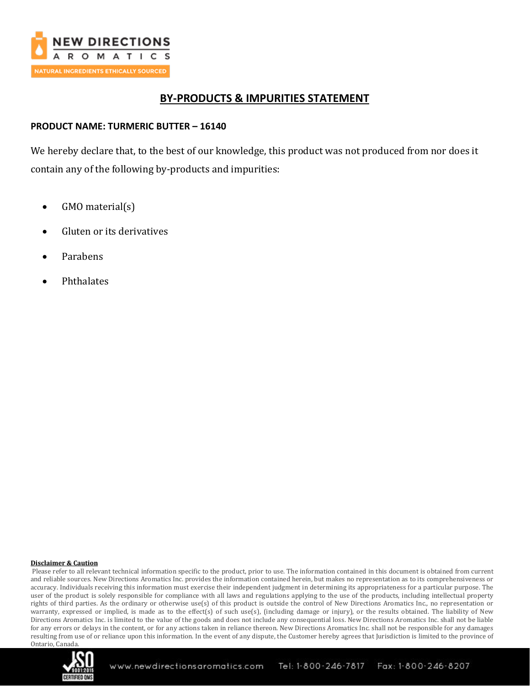

## **BY-PRODUCTS & IMPURITIES STATEMENT**

## **PRODUCT NAME: TURMERIC BUTTER – 16140**

We hereby declare that, to the best of our knowledge, this product was not produced from nor does it contain any of the following by-products and impurities:

- GMO material(s)
- Gluten or its derivatives
- Parabens
- Phthalates

#### **Disclaimer & Caution**

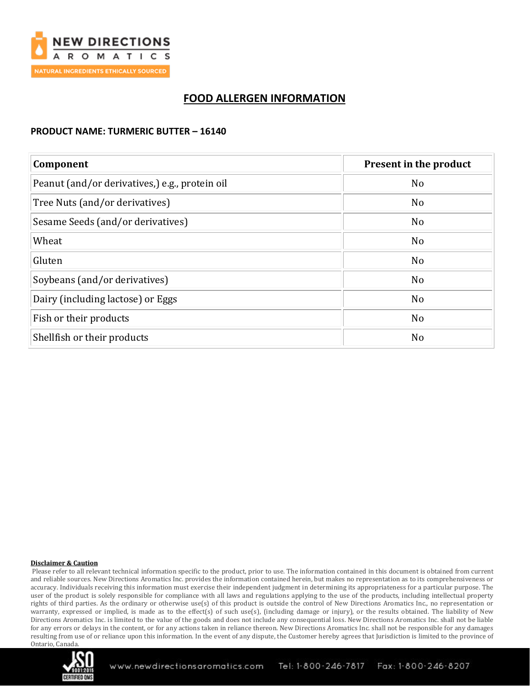

# **FOOD ALLERGEN INFORMATION**

### **PRODUCT NAME: TURMERIC BUTTER – 16140**

| Component                                      | Present in the product |  |
|------------------------------------------------|------------------------|--|
| Peanut (and/or derivatives,) e.g., protein oil | N <sub>o</sub>         |  |
| Tree Nuts (and/or derivatives)                 | N <sub>o</sub>         |  |
| Sesame Seeds (and/or derivatives)              | N <sub>o</sub>         |  |
| Wheat                                          | N <sub>o</sub>         |  |
| Gluten                                         | No                     |  |
| Soybeans (and/or derivatives)                  | N <sub>o</sub>         |  |
| Dairy (including lactose) or Eggs              | N <sub>o</sub>         |  |
| Fish or their products                         | N <sub>o</sub>         |  |
| Shellfish or their products                    | N <sub>o</sub>         |  |

#### **Disclaimer & Caution**

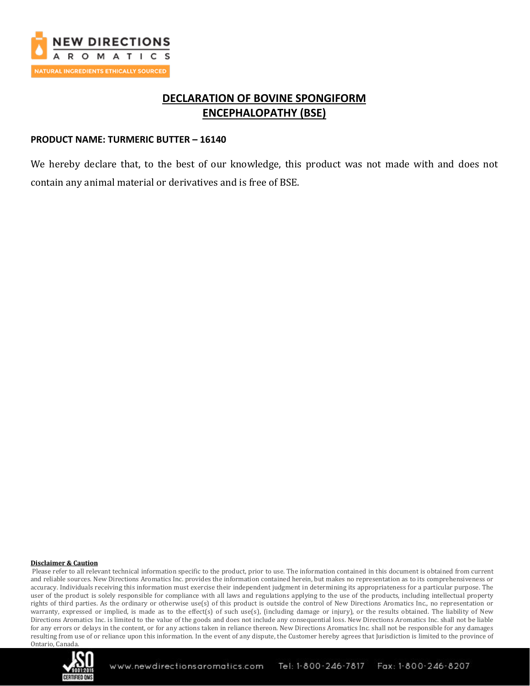

# **DECLARATION OF BOVINE SPONGIFORM ENCEPHALOPATHY (BSE)**

### **PRODUCT NAME: TURMERIC BUTTER – 16140**

We hereby declare that, to the best of our knowledge, this product was not made with and does not contain any animal material or derivatives and is free of BSE.

#### **Disclaimer & Caution**

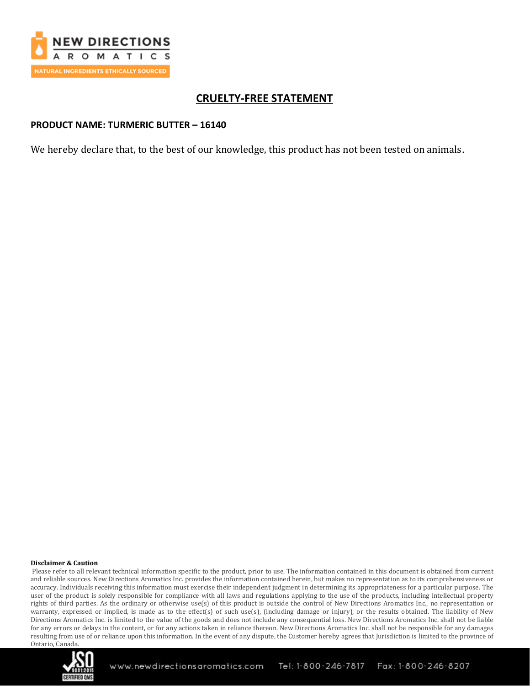

# **CRUELTY-FREE STATEMENT**

### **PRODUCT NAME: TURMERIC BUTTER – 16140**

We hereby declare that, to the best of our knowledge, this product has not been tested on animals.

#### **Disclaimer & Caution**

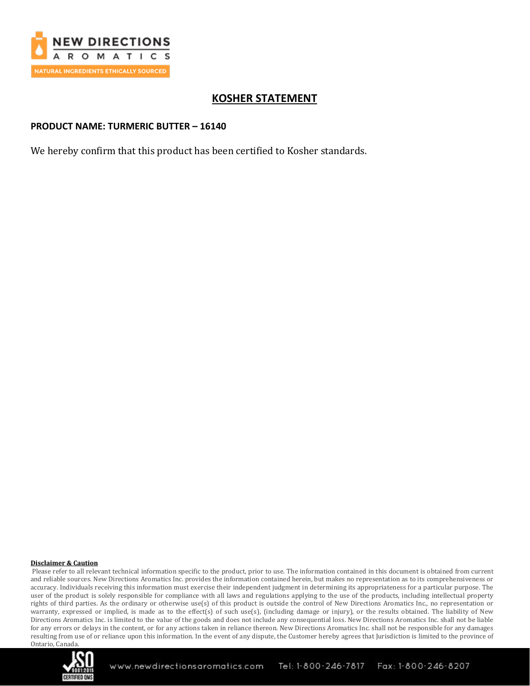

# **KOSHER STATEMENT**

### **PRODUCT NAME: TURMERIC BUTTER – 16140**

We hereby confirm that this product has been certified to Kosher standards.

#### **Disclaimer & Caution**

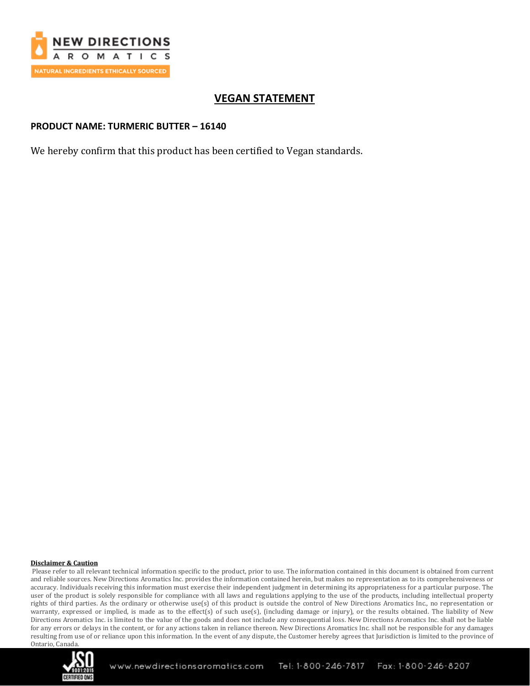

# **VEGAN STATEMENT**

### **PRODUCT NAME: TURMERIC BUTTER – 16140**

We hereby confirm that this product has been certified to Vegan standards.

#### **Disclaimer & Caution**

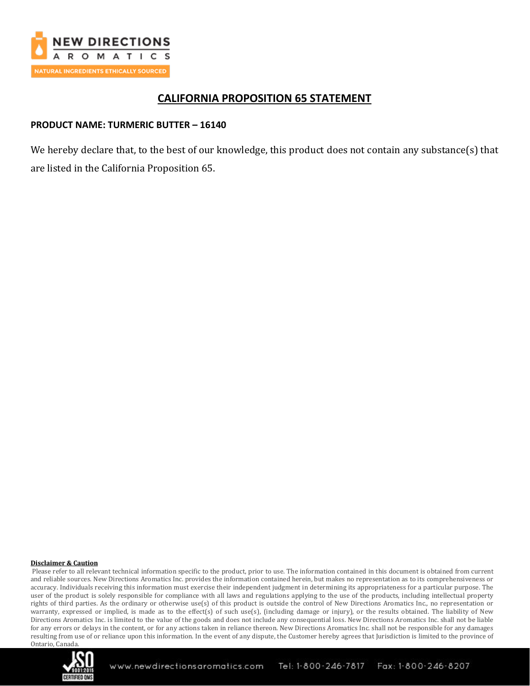

## **CALIFORNIA PROPOSITION 65 STATEMENT**

### **PRODUCT NAME: TURMERIC BUTTER – 16140**

We hereby declare that, to the best of our knowledge, this product does not contain any substance(s) that are listed in the California Proposition 65.

#### **Disclaimer & Caution**